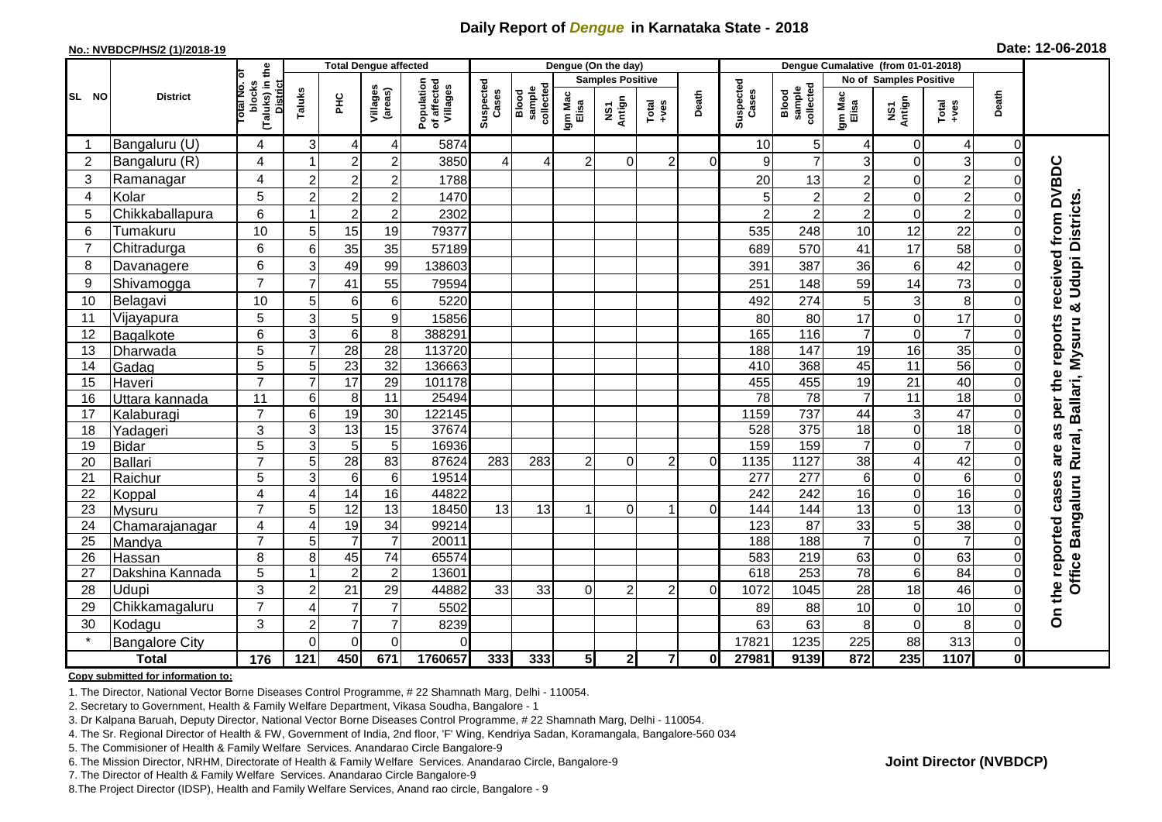## **Daily Report of** *Dengue* **in Karnataka State - 2018**

### **No.: NVBDCP/HS/2 (1)/2018-19**

**Date: 12-06-2018**

|                | <b>District</b>          |                                       |                     | <b>Total Dengue affected</b> |                                    |                                       |                    |                              |                  | Dengue (On the day)               |                   |              |                    |                              |                  |                            |                 |              |                                          |
|----------------|--------------------------|---------------------------------------|---------------------|------------------------------|------------------------------------|---------------------------------------|--------------------|------------------------------|------------------|-----------------------------------|-------------------|--------------|--------------------|------------------------------|------------------|----------------------------|-----------------|--------------|------------------------------------------|
|                |                          | ö                                     |                     |                              |                                    |                                       | Suspected<br>Cases |                              |                  | <b>Samples Positive</b>           |                   |              |                    |                              |                  | No of Samples Positive     |                 |              |                                          |
| SL NO          |                          | (Taluks) in the<br>blocks<br>otal No. | Taluks              | Ξ                            | Villages<br>(areas)                | Population<br>of affected<br>Villages |                    | sample<br>collected<br>Blood | Igm Mac<br>Elisa | Antign<br>$\overline{\mathbf{s}}$ | Total<br>$-1$ ves | Death        | Suspected<br>Cases | Blood<br>sample<br>collected | Igm Mac<br>Elisa | NS1<br>Antign              | Total<br>+ves   | Death        |                                          |
| -1             | Bangaluru (U)            | 4                                     | 3                   | 4                            | 4                                  | 5874                                  |                    |                              |                  |                                   |                   |              | 10                 | 5                            | $\overline{4}$   | $\overline{0}$             | 4               | $\Omega$     |                                          |
| $\overline{2}$ | Bangaluru (R)            | 4                                     | $\overline{1}$      | $\overline{c}$               | $\overline{c}$                     | 3850                                  | 4                  |                              | $\overline{2}$   | 0                                 | $\overline{2}$    | $\Omega$     | 9                  | $\overline{7}$               | 3                | $\Omega$                   | 3               |              |                                          |
| 3              | Ramanagar                | 4                                     | $\overline{c}$      | $\boldsymbol{2}$             | 2                                  | 1788                                  |                    |                              |                  |                                   |                   |              | 20                 | 13                           | $\overline{2}$   | $\Omega$                   | $\overline{c}$  |              |                                          |
| 4              | Kolar                    | 5                                     | $\overline{c}$      | $\boldsymbol{2}$             | $\overline{\mathbf{c}}$            | 1470                                  |                    |                              |                  |                                   |                   |              | 5                  | $\overline{2}$               | $\overline{2}$   | $\overline{0}$             | $\overline{c}$  |              |                                          |
| 5              | Chikkaballapura          | $6\phantom{1}$                        | 1                   | $\overline{2}$               | $\overline{c}$                     | 2302                                  |                    |                              |                  |                                   |                   |              | $\overline{2}$     | $\overline{2}$               | $\overline{2}$   | $\Omega$                   | $\overline{2}$  |              |                                          |
| 6              | Tumakuru                 | 10                                    | 5                   | 15                           | 19                                 | 79377                                 |                    |                              |                  |                                   |                   |              | 535                | 248                          | 10               | 12                         | 22              |              |                                          |
| $\overline{7}$ | Chitradurga              | 6                                     | 6                   | 35                           | 35                                 | 57189                                 |                    |                              |                  |                                   |                   |              | 689                | 570                          | 41               | 17                         | 58              |              |                                          |
| 8              | Davanagere               | $6\phantom{1}$                        | 3                   | 49                           | 99                                 | 138603                                |                    |                              |                  |                                   |                   |              | 391                | 387                          | 36               | $6 \mid$                   | 42              |              |                                          |
| 9              | Shivamogga               | $\overline{7}$                        | $\overline{7}$      | 41                           | 55                                 | 79594                                 |                    |                              |                  |                                   |                   |              | 251                | 148                          | 59               | 14                         | 73              |              | received from DVBDC<br>& Udupi Districts |
| 10             | Belagavi                 | 10                                    | 5                   | 6                            | 6                                  | 5220                                  |                    |                              |                  |                                   |                   |              | 492                | 274                          | $\sqrt{5}$       | $\overline{3}$             | 8               |              |                                          |
| 11             | Vijayapura               | 5                                     | 3                   | $\mathbf 5$                  | $\boldsymbol{9}$                   | 15856                                 |                    |                              |                  |                                   |                   |              | 80                 | 80                           | 17               | $\overline{0}$             | 17              |              |                                          |
| 12             | Bagalkote                | 6                                     | $\overline{3}$      | $\overline{6}$               | 8                                  | 388291                                |                    |                              |                  |                                   |                   |              | 165                | $\frac{116}{116}$            | $\overline{7}$   | $\overline{0}$             | $\overline{7}$  |              |                                          |
| 13             | Dharwada                 | 5                                     | $\overline{7}$      | $\overline{28}$              | $\overline{28}$                    | 113720                                |                    |                              |                  |                                   |                   |              | 188                | 147                          | 19               | 16                         | 35              |              | reports                                  |
| 14             | Gadag                    | 5                                     | 5                   | $\overline{23}$              | $\overline{32}$                    | 136663                                |                    |                              |                  |                                   |                   |              | 410                | 368                          | 45               | 11                         | 56              |              |                                          |
| 15             | Haveri                   | $\overline{7}$                        | $\overline{7}$      | 17                           | 29                                 | 101178                                |                    |                              |                  |                                   |                   |              | 455                | 455                          | 19               | 21                         | 40              |              | the                                      |
| 16             | Uttara kannada           | 11                                    | 6                   | $\,8\,$                      | 11                                 | 25494                                 |                    |                              |                  |                                   |                   |              | $\overline{78}$    | $\overline{78}$              | $\overline{7}$   | 11                         | $\overline{18}$ |              | per                                      |
| 17             | Kalaburagi               | $\overline{7}$                        | 6                   | 19                           | 30                                 | 122145                                |                    |                              |                  |                                   |                   |              | 1159               | 737                          | 44               | 3 <sup>1</sup>             | 47              |              |                                          |
| 18             | Yadageri                 | 3                                     | 3                   | 13                           | 15                                 | 37674                                 |                    |                              |                  |                                   |                   |              | 528                | 375                          | 18               | $\Omega$                   | $\overline{18}$ |              | as                                       |
| 19             | <b>Bidar</b>             | 5                                     | 3                   | $\mathbf 5$                  | 5                                  | 16936                                 |                    |                              |                  |                                   |                   |              | 159                | 159                          | $\overline{7}$   | $\Omega$                   | $\overline{7}$  |              | are                                      |
| 20             | <b>Ballari</b>           | $\overline{7}$                        | 5                   | 28                           | 83                                 | 87624                                 | 283                | 283                          | 2                | 0                                 | 2                 | $\Omega$     | 1135               | 1127                         | $\overline{38}$  | 4                          | 42              |              |                                          |
| 21             | Raichur                  | 5                                     | 3                   | $\,6$                        | $\,6$                              | 19514                                 |                    |                              |                  |                                   |                   |              | $\overline{277}$   | 277                          | 6                | $\Omega$                   | 6               |              |                                          |
| 22             | Koppal                   | $\overline{4}$<br>$\overline{7}$      | $\overline{4}$      | 14<br>12                     | 16                                 | 44822                                 |                    |                              |                  |                                   |                   |              | 242                | 242                          | 16               | $\overline{0}$             | 16<br>13        |              | cases                                    |
| 23<br>24       | Mysuru                   | 4                                     | 5<br>$\overline{4}$ | 19                           | $\overline{13}$<br>$\overline{34}$ | 18450<br>99214                        | 13                 | 13                           |                  | 0                                 |                   | $\Omega$     | 144<br>123         | 144<br>$\overline{87}$       | 13<br>33         | $\Omega$<br>5 <sup>1</sup> | 38              |              |                                          |
| 25             | Chamarajanagar<br>Mandya | $\overline{7}$                        | 5                   | $\overline{7}$               | $\overline{7}$                     | 20011                                 |                    |                              |                  |                                   |                   |              | 188                | 188                          | $\overline{7}$   | $\overline{0}$             | $\overline{7}$  |              | Office Bangaluru Rural, Ballari, Mysuru  |
| 26             | Hassan                   | 8                                     | 8                   | 45                           | 74                                 | 65574                                 |                    |                              |                  |                                   |                   |              | 583                | 219                          | 63               | $\Omega$                   | 63              |              |                                          |
| 27             | Dakshina Kannada         | 5                                     | $\overline{1}$      | $\overline{2}$               | $\overline{2}$                     | 13601                                 |                    |                              |                  |                                   |                   |              | 618                | 253                          | $\overline{78}$  | $6 \mid$                   | 84              |              |                                          |
| 28             | Udupi                    | 3                                     | $\overline{c}$      | 21                           | 29                                 | 44882                                 | 33                 | 33                           | $\Omega$         | $\overline{2}$                    | 2                 | $\Omega$     | 1072               | 1045                         | 28               | 18                         | 46              |              | the reported                             |
| 29             | Chikkamagaluru           | $\overline{7}$                        | 4                   | $\overline{7}$               | $\overline{7}$                     | 5502                                  |                    |                              |                  |                                   |                   |              | 89                 | 88                           | 10               | $\Omega$                   | 10              |              |                                          |
| 30             | Kodagu                   | 3                                     | $\overline{c}$      | $\overline{7}$               | $\overline{7}$                     | 8239                                  |                    |                              |                  |                                   |                   |              | 63                 | 63                           | 8                | $\mathbf 0$                | 8               | ი            | δ                                        |
|                | <b>Bangalore City</b>    |                                       | $\Omega$            | $\overline{0}$               | $\Omega$                           | $\Omega$                              |                    |                              |                  |                                   |                   |              | 17821              | 1235                         | 225              | 88                         | 313             | $\Omega$     |                                          |
|                | <b>Total</b>             | $\frac{1}{176}$                       | 121                 | 450                          | 671                                | 1760657                               | 333                | 333                          | 5 <sub>1</sub>   | $\mathbf{2}$                      | $\overline{7}$    | $\mathbf{0}$ | 27981              | 9139                         | 872              | $\overline{235}$           | 1107            | $\mathbf{0}$ |                                          |

## **Copy submitted for information to:**

1. The Director, National Vector Borne Diseases Control Programme, # 22 Shamnath Marg, Delhi - 110054.

2. Secretary to Government, Health & Family Welfare Department, Vikasa Soudha, Bangalore - 1

3. Dr Kalpana Baruah, Deputy Director, National Vector Borne Diseases Control Programme, # 22 Shamnath Marg, Delhi - 110054.

- 4. The Sr. Regional Director of Health & FW, Government of India, 2nd floor, 'F' Wing, Kendriya Sadan, Koramangala, Bangalore-560 034
- 5. The Commisioner of Health & Family Welfare Services. Anandarao Circle Bangalore-9
- 6. The Mission Director, NRHM, Directorate of Health & Family Welfare Services. Anandarao Circle, Bangalore-9

7. The Director of Health & Family Welfare Services. Anandarao Circle Bangalore-9

8.The Project Director (IDSP), Health and Family Welfare Services, Anand rao circle, Bangalore - 9